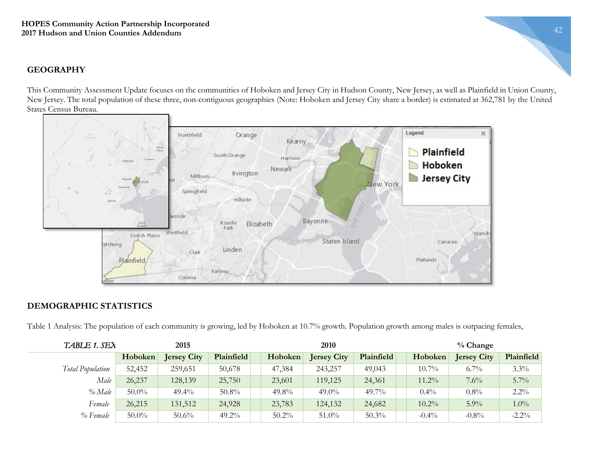### **GEOGRAPHY**

This Community Assessment Update focuses on the communities of Hoboken and Jersey City in Hudson County, New Jersey, as well as Plainfield in Union County, New Jersey. The total population of these three, non-contiguous geographies (Note: Hoboken and Jersey City share a border) is estimated at 362,781 by the United States Census Bureau.



## **DEMOGRAPHIC STATISTICS**

Table 1 Analysis: The population of each community is growing, led by Hoboken at 10.7% growth. Population growth among males is outpacing females,

| TABLE 1. SEX     |          | 2015               |            |          | 2010               |            |          | $\%$ Change        |            |  |  |  |
|------------------|----------|--------------------|------------|----------|--------------------|------------|----------|--------------------|------------|--|--|--|
|                  | Hoboken  | <b>Jersey City</b> | Plainfield | Hoboken  | <b>Jersey City</b> | Plainfield | Hoboken  | <b>Jersey City</b> | Plainfield |  |  |  |
| Total Population | 52,452   | 259,651            | 50,678     | 47,384   | 243,257            | 49,043     | $10.7\%$ | $6.7\%$            | $3.3\%$    |  |  |  |
| Male             | 26,237   | 128,139            | 25,750     | 23,601   | 119,125            | 24,361     | $11.2\%$ | $7.6\%$            | $5.7\%$    |  |  |  |
| $%$ Male         | $50.0\%$ | $49.4\%$           | $50.8\%$   | $49.8\%$ | $49.0\%$           | $49.7\%$   | $0.4\%$  | $0.8\%$            | $2.2\%$    |  |  |  |
| Female           | 26,215   | 131,512            | 24,928     | 23,783   | 124,132            | 24,682     | $10.2\%$ | 5.9%               | $1.0\%$    |  |  |  |
| % Female         | $50.0\%$ | $50.6\%$           | $49.2\%$   | $50.2\%$ | 51.0%              | 50.3%      | $-0.4\%$ | $-0.8\%$           | $-2.2%$    |  |  |  |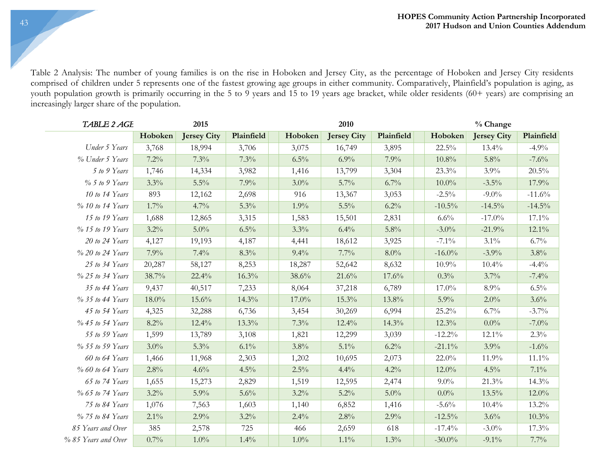Table 2 Analysis: The number of young families is on the rise in Hoboken and Jersey City, as the percentage of Hoboken and Jersey City residents comprised of children under 5 represents one of the fastest growing age groups in either community. Comparatively, Plainfield's population is aging, as youth population growth is primarily occurring in the 5 to 9 years and 15 to 19 years age bracket, while older residents (60+ years) are comprising an increasingly larger share of the population.

| TABLE 2 AGE         |          | 2015               |            |         | 2010               |            | % Change |           |                    |            |
|---------------------|----------|--------------------|------------|---------|--------------------|------------|----------|-----------|--------------------|------------|
|                     | Hoboken  | <b>Jersey City</b> | Plainfield | Hoboken | <b>Jersey City</b> | Plainfield |          | Hoboken   | <b>Jersey City</b> | Plainfield |
| Under 5 Years       | 3,768    | 18,994             | 3,706      | 3,075   | 16,749             | 3,895      |          | 22.5%     | 13.4%              | $-4.9\%$   |
| % Under 5 Years     | 7.2%     | 7.3%               | 7.3%       | $6.5\%$ | 6.9%               | 7.9%       |          | 10.8%     | 5.8%               | $-7.6%$    |
| 5 to 9 Years        | 1,746    | 14,334             | 3,982      | 1,416   | 13,799             | 3,304      |          | 23.3%     | 3.9%               | 20.5%      |
| $\%$ 5 to 9 Years   | 3.3%     | $5.5\%$            | 7.9%       | $3.0\%$ | 5.7%               | 6.7%       |          | $10.0\%$  | $-3.5\%$           | 17.9%      |
| 10 to 14 Years      | 893      | 12,162             | 2,698      | 916     | 13,367             | 3,053      |          | $-2.5\%$  | $-9.0\%$           | $-11.6%$   |
| % 10 to 14 Years    | $1.7\%$  | 4.7%               | 5.3%       | 1.9%    | $5.5\%$            | 6.2%       |          | $-10.5\%$ | $-14.5\%$          | $-14.5\%$  |
| 15 to 19 Years      | 1,688    | 12,865             | 3,315      | 1,583   | 15,501             | 2,831      |          | 6.6%      | $-17.0\%$          | 17.1%      |
| % 15 to 19 Years    | $3.2\%$  | $5.0\%$            | $6.5\%$    | 3.3%    | $6.4\%$            | 5.8%       |          | $-3.0\%$  | $-21.9%$           | 12.1%      |
| 20 to 24 Years      | 4,127    | 19,193             | 4,187      | 4,441   | 18,612             | 3,925      |          | $-7.1\%$  | $3.1\%$            | $6.7\%$    |
| % 20 to 24 Years    | 7.9%     | 7.4%               | 8.3%       | $9.4\%$ | 7.7%               | $8.0\%$    |          | $-16.0\%$ | $-3.9\%$           | 3.8%       |
| 25 to 34 Years      | 20,287   | 58,127             | 8,253      | 18,287  | 52,642             | 8,632      |          | 10.9%     | 10.4%              | $-4.4%$    |
| $\%$ 25 to 34 Years | 38.7%    | 22.4%              | 16.3%      | 38.6%   | 21.6%              | 17.6%      |          | 0.3%      | 3.7%               | $-7.4%$    |
| 35 to 44 Years      | 9,437    | 40,517             | 7,233      | 8,064   | 37,218             | 6,789      |          | 17.0%     | 8.9%               | 6.5%       |
| $\%$ 35 to 44 Years | $18.0\%$ | 15.6%              | 14.3%      | 17.0%   | 15.3%              | 13.8%      |          | $5.9\%$   | $2.0\%$            | 3.6%       |
| 45 to 54 Years      | 4,325    | 32,288             | 6,736      | 3,454   | 30,269             | 6,994      |          | 25.2%     | 6.7%               | $-3.7\%$   |
| $\%$ 45 to 54 Years | $8.2\%$  | $12.4\%$           | 13.3%      | 7.3%    | 12.4%              | 14.3%      |          | 12.3%     | $0.0\%$            | $-7.0\%$   |
| 55 to 59 Years      | 1,599    | 13,789             | 3,108      | 1,821   | 12,299             | 3,039      |          | $-12.2%$  | 12.1%              | 2.3%       |
| $\%$ 55 to 59 Years | $3.0\%$  | 5.3%               | $6.1\%$    | 3.8%    | $5.1\%$            | 6.2%       |          | $-21.1\%$ | 3.9%               | $-1.6%$    |
| 60 to 64 Years      | 1,466    | 11,968             | 2,303      | 1,202   | 10,695             | 2,073      |          | 22.0%     | 11.9%              | $11.1\%$   |
| % 60 to 64 Years    | 2.8%     | 4.6%               | $4.5\%$    | 2.5%    | 4.4%               | 4.2%       |          | $12.0\%$  | 4.5%               | 7.1%       |
| 65 to 74 Years      | 1,655    | 15,273             | 2,829      | 1,519   | 12,595             | 2,474      |          | $9.0\%$   | 21.3%              | 14.3%      |
| % 65 to 74 Years    | $3.2\%$  | 5.9%               | 5.6%       | $3.2\%$ | $5.2\%$            | $5.0\%$    |          | $0.0\%$   | 13.5%              | 12.0%      |
| 75 to 84 Years      | 1,076    | 7,563              | 1,603      | 1,140   | 6,852              | 1,416      |          | $-5.6\%$  | $10.4\%$           | 13.2%      |
| $\%$ 75 to 84 Years | $2.1\%$  | 2.9%               | $3.2\%$    | 2.4%    | 2.8%               | 2.9%       |          | $-12.5%$  | 3.6%               | 10.3%      |
| 85 Years and Over   | 385      | 2,578              | 725        | 466     | 2,659              | 618        |          | $-17.4%$  | $-3.0\%$           | 17.3%      |
| % 85 Years and Over | $0.7\%$  | $1.0\%$            | $1.4\%$    | $1.0\%$ | $1.1\%$            | 1.3%       |          | $-30.0\%$ | $-9.1\%$           | 7.7%       |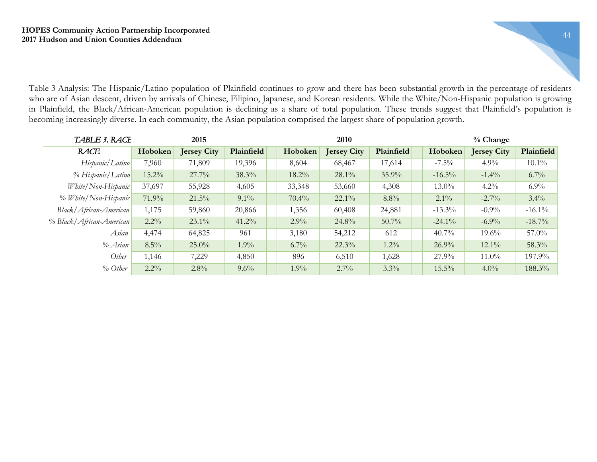Table 3 Analysis: The Hispanic/Latino population of Plainfield continues to grow and there has been substantial growth in the percentage of residents who are of Asian descent, driven by arrivals of Chinese, Filipino, Japanese, and Korean residents. While the White/Non-Hispanic population is growing in Plainfield, the Black/African-American population is declining as a share of total population. These trends suggest that Plainfield's population is becoming increasingly diverse. In each community, the Asian population comprised the largest share of population growth.

| TABLE 3. RACE            |          | 2015               |            |          | 2010               |            | $%$ Change |           |                    |                   |
|--------------------------|----------|--------------------|------------|----------|--------------------|------------|------------|-----------|--------------------|-------------------|
| RACE                     | Hoboken  | <b>Jersey City</b> | Plainfield | Hoboken  | <b>Jersey City</b> | Plainfield |            | Hoboken   | <b>Jersey City</b> | <b>Plainfield</b> |
| Hispanic/Latino          | 7,960    | 71,809             | 19,396     | 8,604    | 68,467             | 17,614     |            | $-7.5\%$  | $4.9\%$            | $10.1\%$          |
| % Hispanic/Latino        | $15.2\%$ | 27.7%              | 38.3%      | $18.2\%$ | $28.1\%$           | $35.9\%$   |            | $-16.5\%$ | $-1.4\%$           | $6.7\%$           |
| White/Non-Hispanic       | 37,697   | 55,928             | 4,605      | 33,348   | 53,660             | 4,308      |            | 13.0%     | $4.2\%$            | $6.9\%$           |
| % White/Non-Hispanic     | 71.9%    | 21.5%              | $9.1\%$    | $70.4\%$ | $22.1\%$           | 8.8%       |            | $2.1\%$   | $-2.7\%$           | $3.4\%$           |
| Black/African-American   | 1,175    | 59,860             | 20,866     | 1,356    | 60,408             | 24,881     |            | $-13.3\%$ | $-0.9\%$           | $-16.1\%$         |
| % Black/African-American | $2.2\%$  | $23.1\%$           | $41.2\%$   | 2.9%     | $24.8\%$           | $50.7\%$   |            | $-24.1\%$ | $-6.9\%$           | $-18.7\%$         |
| Asian                    | 4,474    | 64,825             | 961        | 3,180    | 54,212             | 612        |            | 40.7%     | $19.6\%$           | $57.0\%$          |
| % Asian                  | $8.5\%$  | $25.0\%$           | $1.9\%$    | $6.7\%$  | 22.3%              | $1.2\%$    |            | 26.9%     | $12.1\%$           | 58.3%             |
| Other                    | 1,146    | 7,229              | 4,850      | 896      | 6,510              | 1,628      |            | 27.9%     | $11.0\%$           | 197.9%            |
| $\%$ Other               | $2.2\%$  | 2.8%               | $9.6\%$    | $1.9\%$  | $2.7\%$            | 3.3%       |            | $15.5\%$  | $4.0\%$            | 188.3%            |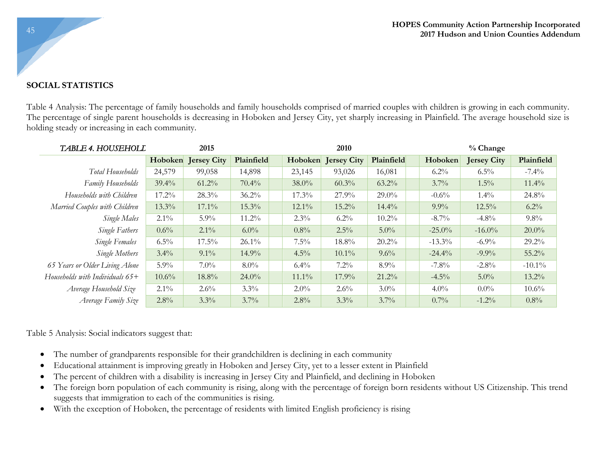#### **SOCIAL STATISTICS**

Table 4 Analysis: The percentage of family households and family households comprised of married couples with children is growing in each community. The percentage of single parent households is decreasing in Hoboken and Jersey City, yet sharply increasing in Plainfield. The average household size is holding steady or increasing in each community.

| <b>TABLE 4. HOUSEHOLL</b>         |          | 2015               |            |  |          | 2010               |            | % Change  |                    |            |  |  |
|-----------------------------------|----------|--------------------|------------|--|----------|--------------------|------------|-----------|--------------------|------------|--|--|
|                                   | Hoboken  | <b>Jersey City</b> | Plainfield |  | Hoboken  | <b>Jersey City</b> | Plainfield | Hoboken   | <b>Jersey City</b> | Plainfield |  |  |
| Total Households                  | 24,579   | 99,058             | 14,898     |  | 23,145   | 93,026             | 16,081     | $6.2\%$   | $6.5\%$            | $-7.4\%$   |  |  |
| Family Households                 | $39.4\%$ | $61.2\%$           | $70.4\%$   |  | $38.0\%$ | $60.3\%$           | $63.2\%$   | $3.7\%$   | $1.5\%$            | $11.4\%$   |  |  |
| Households with Children          | $17.2\%$ | $28.3\%$           | $36.2\%$   |  | $17.3\%$ | 27.9%              | $29.0\%$   | $-0.6%$   | $1.4\%$            | 24.8%      |  |  |
| Married Couples with Children     | 13.3%    | $17.1\%$           | 15.3%      |  | $12.1\%$ | $15.2\%$           | $14.4\%$   | $9.9\%$   | $12.5\%$           | $6.2\%$    |  |  |
| Single Males                      | $2.1\%$  | $5.9\%$            | $11.2\%$   |  | $2.3\%$  | $6.2\%$            | $10.2\%$   | $-8.7\%$  | $-4.8\%$           | $9.8\%$    |  |  |
| Single Fathers                    | $0.6\%$  | $2.1\%$            | $6.0\%$    |  | $0.8\%$  | $2.5\%$            | $5.0\%$    | $-25.0\%$ | $-16.0\%$          | $20.0\%$   |  |  |
| Single Females                    | $6.5\%$  | $17.5\%$           | $26.1\%$   |  | $7.5\%$  | 18.8%              | 20.2%      | $-13.3\%$ | $-6.9\%$           | $29.2\%$   |  |  |
| Single Mothers                    | $3.4\%$  | $9.1\%$            | 14.9%      |  | $4.5\%$  | $10.1\%$           | $9.6\%$    | $-24.4\%$ | $-9.9\%$           | 55.2%      |  |  |
| 65 Years or Older Living Alone    | $5.9\%$  | $7.0\%$            | $8.0\%$    |  | $6.4\%$  | $7.2\%$            | $8.9\%$    | $-7.8\%$  | $-2.8\%$           | $-10.1\%$  |  |  |
| Households with Individuals $65+$ | $10.6\%$ | 18.8%              | $24.0\%$   |  | $11.1\%$ | 17.9%              | 21.2%      | $-4.5\%$  | $5.0\%$            | $13.2\%$   |  |  |
| Average Household Size            | $2.1\%$  | $2.6\%$            | $3.3\%$    |  | $2.0\%$  | $2.6\%$            | $3.0\%$    | $4.0\%$   | $0.0\%$            | $10.6\%$   |  |  |
| Average Family Size               | 2.8%     | 3.3%               | 3.7%       |  | $2.8\%$  | $3.3\%$            | $3.7\%$    | $0.7\%$   | $-1.2\%$           | $0.8\%$    |  |  |

Table 5 Analysis: Social indicators suggest that:

- The number of grandparents responsible for their grandchildren is declining in each community
- Educational attainment is improving greatly in Hoboken and Jersey City, yet to a lesser extent in Plainfield
- The percent of children with a disability is increasing in Jersey City and Plainfield, and declining in Hoboken
- The foreign born population of each community is rising, along with the percentage of foreign born residents without US Citizenship. This trend suggests that immigration to each of the communities is rising.
- With the exception of Hoboken, the percentage of residents with limited English proficiency is rising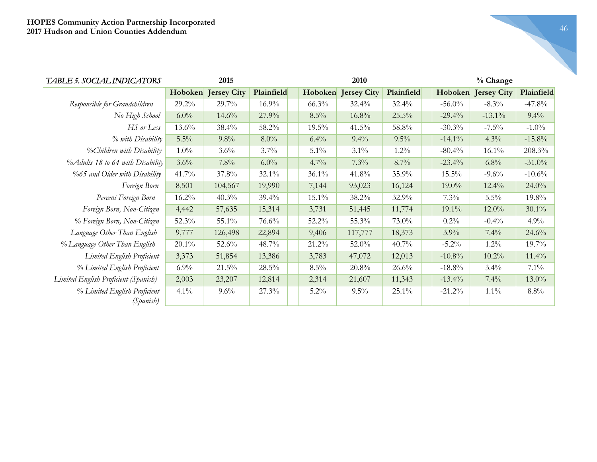| TABLE 5. SOCIAL INDICATORS                |          | 2015                       |            |          | 2010               |            |           | % Change                   |            |  |  |
|-------------------------------------------|----------|----------------------------|------------|----------|--------------------|------------|-----------|----------------------------|------------|--|--|
|                                           |          | <b>Hoboken</b> Jersey City | Plainfield | Hoboken  | <b>Jersey City</b> | Plainfield |           | <b>Hoboken</b> Jersey City | Plainfield |  |  |
| Responsible for Grandchildren             | 29.2%    | $29.7\%$                   | $16.9\%$   | $66.3\%$ | 32.4%              | $32.4\%$   | $-56.0\%$ | $-8.3\%$                   | $-47.8%$   |  |  |
| No High School                            | $6.0\%$  | 14.6%                      | 27.9%      | $8.5\%$  | 16.8%              | 25.5%      | $-29.4\%$ | $-13.1\%$                  | $9.4\%$    |  |  |
| HS or Less                                | $13.6\%$ | $38.4\%$                   | 58.2%      | 19.5%    | 41.5%              | 58.8%      | $-30.3\%$ | $-7.5\%$                   | $-1.0\%$   |  |  |
| % with Disability                         | $5.5\%$  | $9.8\%$                    | $8.0\%$    | $6.4\%$  | $9.4\%$            | $9.5\%$    | $-14.1\%$ | 4.3%                       | $-15.8\%$  |  |  |
| %Children with Disability                 | $1.0\%$  | $3.6\%$                    | $3.7\%$    | $5.1\%$  | $3.1\%$            | $1.2\%$    | $-80.4\%$ | $16.1\%$                   | 208.3%     |  |  |
| %Adults 18 to 64 with Disability          | 3.6%     | 7.8%                       | $6.0\%$    | 4.7%     | 7.3%               | $8.7\%$    | $-23.4\%$ | 6.8%                       | $-31.0\%$  |  |  |
| %65 and Older with Disability             | 41.7%    | 37.8%                      | $32.1\%$   | $36.1\%$ | 41.8%              | 35.9%      | $15.5\%$  | $-9.6\%$                   | $-10.6\%$  |  |  |
| Foreign Born                              | 8,501    | 104,567                    | 19,990     | 7,144    | 93,023             | 16,124     | 19.0%     | 12.4%                      | $24.0\%$   |  |  |
| Percent Foreign Born                      | $16.2\%$ | $40.3\%$                   | $39.4\%$   | 15.1%    | 38.2%              | 32.9%      | $7.3\%$   | $5.5\%$                    | 19.8%      |  |  |
| Foreign Born, Non-Citizen                 | 4,442    | 57,635                     | 15,314     | 3,731    | 51,445             | 11,774     | 19.1%     | $12.0\%$                   | $30.1\%$   |  |  |
| % Foreign Born, Non-Citizen               | 52.3%    | 55.1%                      | $76.6\%$   | 52.2%    | 55.3%              | 73.0%      | $0.2\%$   | $-0.4\%$                   | 4.9%       |  |  |
| Language Other Than English               | 9,777    | 126,498                    | 22,894     | 9,406    | 117,777            | 18,373     | $3.9\%$   | $7.4\%$                    | 24.6%      |  |  |
| % Language Other Than English             | 20.1%    | $52.6\%$                   | $48.7\%$   | $21.2\%$ | 52.0%              | 40.7%      | $-5.2\%$  | $1.2\%$                    | $19.7\%$   |  |  |
| Limited English Proficient                | 3,373    | 51,854                     | 13,386     | 3,783    | 47,072             | 12,013     | $-10.8\%$ | $10.2\%$                   | $11.4\%$   |  |  |
| % Limited English Proficient              | $6.9\%$  | $21.5\%$                   | $28.5\%$   | $8.5\%$  | 20.8%              | 26.6%      | $-18.8\%$ | $3.4\%$                    | $7.1\%$    |  |  |
| Limited English Proficient (Spanish)      | 2,003    | 23,207                     | 12,814     | 2,314    | 21,607             | 11,343     | $-13.4\%$ | $7.4\%$                    | $13.0\%$   |  |  |
| % Limited English Proficient<br>(Spanish) | $4.1\%$  | $9.6\%$                    | $27.3\%$   | $5.2\%$  | $9.5\%$            | $25.1\%$   | $-21.2%$  | $1.1\%$                    | 8.8%       |  |  |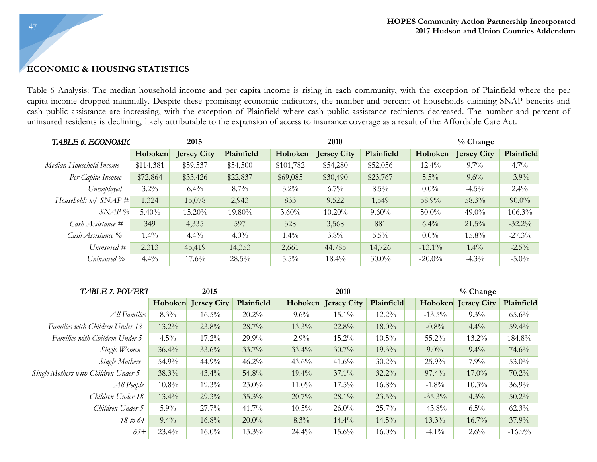# **ECONOMIC & HOUSING STATISTICS**

Table 6 Analysis: The median household income and per capita income is rising in each community, with the exception of Plainfield where the per capita income dropped minimally. Despite these promising economic indicators, the number and percent of households claiming SNAP benefits and cash public assistance are increasing, with the exception of Plainfield where cash public assistance recipients decreased. The number and percent of uninsured residents is declining, likely attributable to the expansion of access to insurance coverage as a result of the Affordable Care Act.

| <b>TABLE 6. ECONOMIC</b> |           | 2015               |            |           | 2010               |            | $%$ Change |                    |            |  |  |  |
|--------------------------|-----------|--------------------|------------|-----------|--------------------|------------|------------|--------------------|------------|--|--|--|
|                          | Hoboken   | <b>Jersey City</b> | Plainfield | Hoboken   | <b>Jersey City</b> | Plainfield | Hoboken    | <b>Jersey City</b> | Plainfield |  |  |  |
| Median Household Income  | \$114,381 | \$59,537           | \$54,500   | \$101,782 | \$54,280           | \$52,056   | $12.4\%$   | $9.7\%$            | $4.7\%$    |  |  |  |
| Per Capita Income        | \$72,864  | \$33,426           | \$22,837   | \$69,085  | \$30,490           | \$23,767   | $5.5\%$    | 9.6%               | $-3.9\%$   |  |  |  |
| Unemployed               | $3.2\%$   | $6.4\%$            | $8.7\%$    | $3.2\%$   | $6.7\%$            | $8.5\%$    | $0.0\%$    | $-4.5\%$           | 2.4%       |  |  |  |
| Households $w/$ SNAP #   | 1,324     | 15,078             | 2,943      | 833       | 9,522              | 1,549      | 58.9%      | 58.3%              | $90.0\%$   |  |  |  |
| SNAP%                    | $5.40\%$  | $15.20\%$          | 19.80%     | $3.60\%$  | $10.20\%$          | $9.60\%$   | $50.0\%$   | $49.0\%$           | 106.3%     |  |  |  |
| Cash Assistance #        | 349       | 4,335              | 597        | 328       | 3,568              | 881        | $6.4\%$    | $21.5\%$           | $-32.2%$   |  |  |  |
| Cash Assistance %        | $1.4\%$   | 4.4%               | $4.0\%$    | $1.4\%$   | $3.8\%$            | $5.5\%$    | $0.0\%$    | $15.8\%$           | $-27.3%$   |  |  |  |
| Uninsured #              | 2,313     | 45,419             | 14,353     | 2,661     | 44,785             | 14,726     | $-13.1\%$  | $1.4\%$            | $-2.5\%$   |  |  |  |
| Uninsured %              | 4.4%      | $17.6\%$           | $28.5\%$   | $5.5\%$   | $18.4\%$           | $30.0\%$   | $-20.0\%$  | $-4.3\%$           | $-5.0\%$   |  |  |  |

| TABLE 7. POVERT                      |          | 2015               |            |          | 2010                |            | % Change |           |                    |            |
|--------------------------------------|----------|--------------------|------------|----------|---------------------|------------|----------|-----------|--------------------|------------|
|                                      | Hoboken  | <b>Jersey City</b> | Plainfield |          | Hoboken Jersey City | Plainfield |          | Hoboken   | <b>Jersey City</b> | Plainfield |
| All Families                         | $8.3\%$  | $16.5\%$           | $20.2\%$   | $9.6\%$  | $15.1\%$            | 12.2%      |          | $-13.5\%$ | $9.3\%$            | 65.6%      |
| Families with Children Under 18      | 13.2%    | 23.8%              | 28.7%      | $13.3\%$ | 22.8%               | $18.0\%$   |          | $-0.8\%$  | $4.4\%$            | $59.4\%$   |
| Families with Children Under 5       | $4.5\%$  | $17.2\%$           | $29.9\%$   | $2.9\%$  | 15.2%               | $10.5\%$   |          | $55.2\%$  | 13.2%              | 184.8%     |
| Single Women                         | 36.4%    | 33.6%              | 33.7%      | $33.4\%$ | $30.7\%$            | 19.3%      |          | $9.0\%$   | $9.4\%$            | 74.6%      |
| Single Mothers                       | 54.9%    | 44.9%              | $46.2\%$   | $43.6\%$ | 41.6%               | 30.2%      |          | $25.9\%$  | $7.9\%$            | 53.0%      |
| Single Mothers with Children Under 5 | 38.3%    | $43.4\%$           | 54.8%      | $19.4\%$ | $37.1\%$            | 32.2%      |          | $97.4\%$  | $17.0\%$           | $70.2\%$   |
| All People                           | $10.8\%$ | $19.3\%$           | $23.0\%$   | $11.0\%$ | $17.5\%$            | 16.8%      |          | $-1.8\%$  | $10.3\%$           | 36.9%      |
| Children Under 18                    | 13.4%    | 29.3%              | 35.3%      | $20.7\%$ | 28.1%               | 23.5%      |          | $-35.3%$  | $4.3\%$            | $50.2\%$   |
| Children Under 5                     | $5.9\%$  | 27.7%              | $41.7\%$   | $10.5\%$ | $26.0\%$            | 25.7%      |          | $-43.8\%$ | $6.5\%$            | $62.3\%$   |
| 18 to 64                             | $9.4\%$  | 16.8%              | $20.0\%$   | $8.3\%$  | $14.4\%$            | 14.5%      |          | $13.3\%$  | $16.7\%$           | 37.9%      |
| $65+$                                | 23.4%    | $16.0\%$           | $13.3\%$   | $24.4\%$ | $15.6\%$            | $16.0\%$   |          | $-4.1\%$  | $2.6\%$            | $-16.9%$   |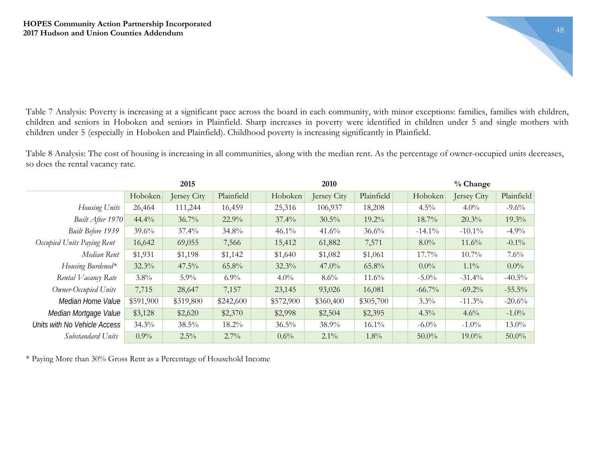Table 7 Analysis: Poverty is increasing at a significant pace across the board in each community, with minor exceptions: families, families with children, children and seniors in Hoboken and seniors in Plainfield. Sharp increases in poverty were identified in children under 5 and single mothers with children under 5 (especially in Hoboken and Plainfield). Childhood poverty is increasing significantly in Plainfield.

Table 8 Analysis: The cost of housing is increasing in all communities, along with the median rent. As the percentage of owner-occupied units decreases, so does the rental vacancy rate.

|                              |           | 2015        |            |           | 2010        |            | $%$ Change |           |             |            |
|------------------------------|-----------|-------------|------------|-----------|-------------|------------|------------|-----------|-------------|------------|
|                              | Hoboken   | Jersey City | Plainfield | Hoboken   | Jersey City | Plainfield |            | Hoboken   | Jersey City | Plainfield |
| Housing Units                | 26,464    | 111,244     | 16,459     | 25,316    | 106,937     | 18,208     |            | $4.5\%$   | $4.0\%$     | $-9.6\%$   |
| Built After 1970             | 44.4%     | $36.7\%$    | 22.9%      | $37.4\%$  | $30.5\%$    | $19.2\%$   |            | $18.7\%$  | 20.3%       | 19.3%      |
| <b>Built Before 1939</b>     | 39.6%     | $37.4\%$    | 34.8%      | $46.1\%$  | $41.6\%$    | $36.6\%$   |            | $-14.1\%$ | $-10.1\%$   | $-4.9\%$   |
| Occupied Units Paying Rent   | 16,642    | 69,055      | 7,566      | 15,412    | 61,882      | 7,571      |            | $8.0\%$   | 11.6%       | $-0.1\%$   |
| Median Rent                  | \$1,931   | \$1,198     | \$1,142    | \$1,640   | \$1,082     | \$1,061    |            | $17.7\%$  | $10.7\%$    | $7.6\%$    |
| Housing Burdened*            | 32.3%     | $47.5\%$    | $65.8\%$   | 32.3%     | $47.0\%$    | 65.8%      |            | $0.0\%$   | $1.1\%$     | $0.0\%$    |
| Rental Vacancy Rate          | $3.8\%$   | $5.9\%$     | $6.9\%$    | $4.0\%$   | $8.6\%$     | 11.6%      |            | $-5.0\%$  | $-31.4\%$   | $-40.5\%$  |
| Owner-Occupied Units         | 7,715     | 28,647      | 7,157      | 23,145    | 93,026      | 16,081     |            | $-66.7\%$ | $-69.2\%$   | $-55.5%$   |
| Median Home Value            | \$591,900 | \$319,800   | \$242,600  | \$572,900 | \$360,400   | \$305,700  |            | $3.3\%$   | $-11.3\%$   | $-20.6\%$  |
| Median Mortgage Value        | \$3,128   | \$2,620     | \$2,370    | \$2,998   | \$2,504     | \$2,395    |            | $4.3\%$   | 4.6%        | $-1.0\%$   |
| Units with No Vehicle Access | 34.3%     | $38.5\%$    | $18.2\%$   | 36.5%     | 38.9%       | $16.1\%$   |            | $-6.0\%$  | $-1.0\%$    | $13.0\%$   |
| <i>Substandard Units</i>     | $0.9\%$   | $2.5\%$     | $2.7\%$    | $0.6\%$   | $2.1\%$     | $1.8\%$    |            | $50.0\%$  | $19.0\%$    | $50.0\%$   |

\* Paying More than 30% Gross Rent as a Percentage of Household Income